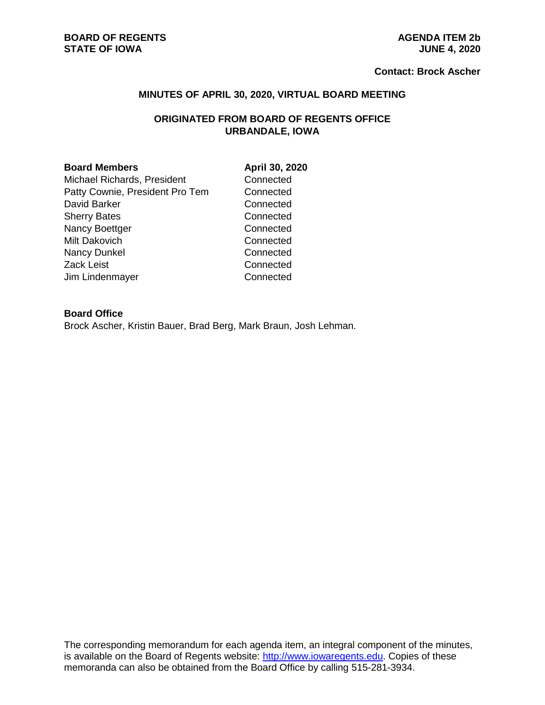#### **BOARD OF REGENTS**<br> **BOARD OF REGENTS**<br> **BOARD OF IOWA**<br> **AGENDA ITEM 2b**<br> **AGENDA ITEM 2b STATE OF IOWA**

#### **Contact: Brock Ascher**

#### **MINUTES OF APRIL 30, 2020, VIRTUAL BOARD MEETING**

# **ORIGINATED FROM BOARD OF REGENTS OFFICE URBANDALE, IOWA**

#### **Board Members April 30, 2020**

Michael Richards, President Connected Patty Cownie, President Pro Tem Connected David Barker **Connected** Sherry Bates **Connected** Nancy Boettger Connected Milt Dakovich **Connected** Nancy Dunkel Connected Zack Leist **Connected** Jim Lindenmayer Connected

#### **Board Office**

Brock Ascher, Kristin Bauer, Brad Berg, Mark Braun, Josh Lehman.

The corresponding memorandum for each agenda item, an integral component of the minutes, is available on the Board of Regents website: [http://www.iowaregents.edu.](http://www.iowaregents.edu/) Copies of these memoranda can also be obtained from the Board Office by calling 515-281-3934.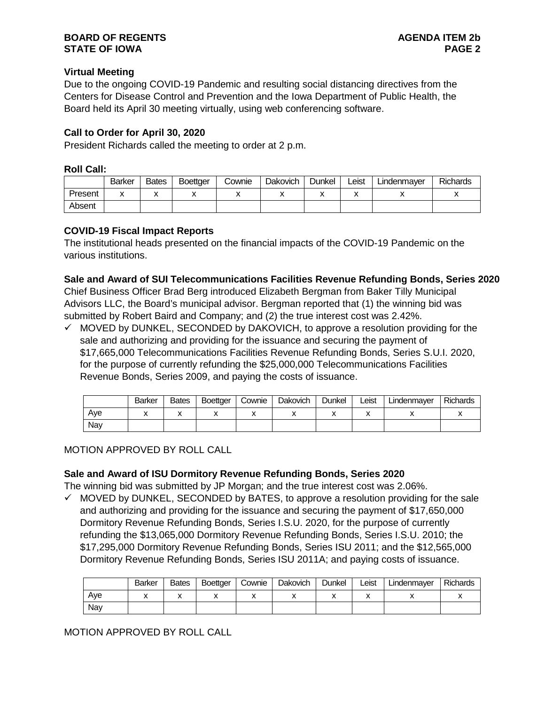# **Virtual Meeting**

Due to the ongoing COVID-19 Pandemic and resulting social distancing directives from the Centers for Disease Control and Prevention and the Iowa Department of Public Health, the Board held its April 30 meeting virtually, using web conferencing software.

# **Call to Order for April 30, 2020**

President Richards called the meeting to order at 2 p.m.

#### **Roll Call:**

|         | <b>Barker</b> | <b>Bates</b> | <b>Boettger</b> | Cownie | Dakovich | Dunkel | Leist | Lindenmaver | <b>Richards</b> |
|---------|---------------|--------------|-----------------|--------|----------|--------|-------|-------------|-----------------|
| Present |               | v            |                 |        |          |        |       |             |                 |
| Absent  |               |              |                 |        |          |        |       |             |                 |

## **COVID-19 Fiscal Impact Reports**

The institutional heads presented on the financial impacts of the COVID-19 Pandemic on the various institutions.

#### **Sale and Award of SUI Telecommunications Facilities Revenue Refunding Bonds, Series 2020**

Chief Business Officer Brad Berg introduced Elizabeth Bergman from Baker Tilly Municipal Advisors LLC, the Board's municipal advisor. Bergman reported that (1) the winning bid was submitted by Robert Baird and Company; and (2) the true interest cost was 2.42%.

 $\checkmark$  MOVED by DUNKEL, SECONDED by DAKOVICH, to approve a resolution providing for the sale and authorizing and providing for the issuance and securing the payment of \$17,665,000 Telecommunications Facilities Revenue Refunding Bonds, Series S.U.I. 2020, for the purpose of currently refunding the \$25,000,000 Telecommunications Facilities Revenue Bonds, Series 2009, and paying the costs of issuance.

|     | Barker | <b>Bates</b> | <b>Boettger</b> | Cownie | Dakovich | <b>Dunkel</b> | Leist | Lindenmayer | <b>Richards</b> |
|-----|--------|--------------|-----------------|--------|----------|---------------|-------|-------------|-----------------|
| Ave |        | ́            |                 | "      |          |               |       |             |                 |
| Nav |        |              |                 |        |          |               |       |             |                 |

## MOTION APPROVED BY ROLL CALL

## **Sale and Award of ISU Dormitory Revenue Refunding Bonds, Series 2020**

The winning bid was submitted by JP Morgan; and the true interest cost was 2.06%.

 $\checkmark$  MOVED by DUNKEL, SECONDED by BATES, to approve a resolution providing for the sale and authorizing and providing for the issuance and securing the payment of \$17,650,000 Dormitory Revenue Refunding Bonds, Series I.S.U. 2020, for the purpose of currently refunding the \$13,065,000 Dormitory Revenue Refunding Bonds, Series I.S.U. 2010; the \$17,295,000 Dormitory Revenue Refunding Bonds, Series ISU 2011; and the \$12,565,000 Dormitory Revenue Refunding Bonds, Series ISU 2011A; and paying costs of issuance.

|     | Barker | <b>Bates</b> | <b>Boettger</b> | Cownie | Dakovich | Dunkel | Leist | Lindenmayer | <b>Richards</b> |
|-----|--------|--------------|-----------------|--------|----------|--------|-------|-------------|-----------------|
| Ave |        | ́            |                 | "      |          |        |       |             |                 |
| Nav |        |              |                 |        |          |        |       |             |                 |

## MOTION APPROVED BY ROLL CALL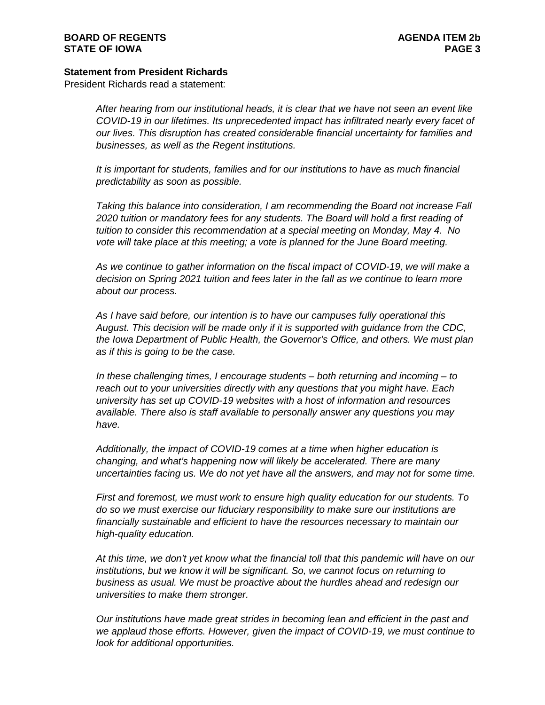#### **BOARD OF REGENTS AGENDA ITEM 2b STATE OF IOWA**

## **Statement from President Richards**

President Richards read a statement:

*After hearing from our institutional heads, it is clear that we have not seen an event like COVID-19 in our lifetimes. Its unprecedented impact has infiltrated nearly every facet of our lives. This disruption has created considerable financial uncertainty for families and businesses, as well as the Regent institutions.* 

*It is important for students, families and for our institutions to have as much financial predictability as soon as possible.*

*Taking this balance into consideration, I am recommending the Board not increase Fall 2020 tuition or mandatory fees for any students. The Board will hold a first reading of tuition to consider this recommendation at a special meeting on Monday, May 4. No vote will take place at this meeting; a vote is planned for the June Board meeting.*

*As we continue to gather information on the fiscal impact of COVID-19, we will make a decision on Spring 2021 tuition and fees later in the fall as we continue to learn more about our process.*

*As I have said before, our intention is to have our campuses fully operational this August. This decision will be made only if it is supported with guidance from the CDC, the Iowa Department of Public Health, the Governor's Office, and others. We must plan as if this is going to be the case.*

*In these challenging times, I encourage students – both returning and incoming – to reach out to your universities directly with any questions that you might have. Each university has set up COVID-19 websites with a host of information and resources available. There also is staff available to personally answer any questions you may have.*

*Additionally, the impact of COVID-19 comes at a time when higher education is changing, and what's happening now will likely be accelerated. There are many uncertainties facing us. We do not yet have all the answers, and may not for some time.* 

*First and foremost, we must work to ensure high quality education for our students. To do so we must exercise our fiduciary responsibility to make sure our institutions are financially sustainable and efficient to have the resources necessary to maintain our high-quality education.* 

*At this time, we don't yet know what the financial toll that this pandemic will have on our institutions, but we know it will be significant. So, we cannot focus on returning to business as usual. We must be proactive about the hurdles ahead and redesign our universities to make them stronger.* 

*Our institutions have made great strides in becoming lean and efficient in the past and we applaud those efforts. However, given the impact of COVID-19, we must continue to look for additional opportunities.*